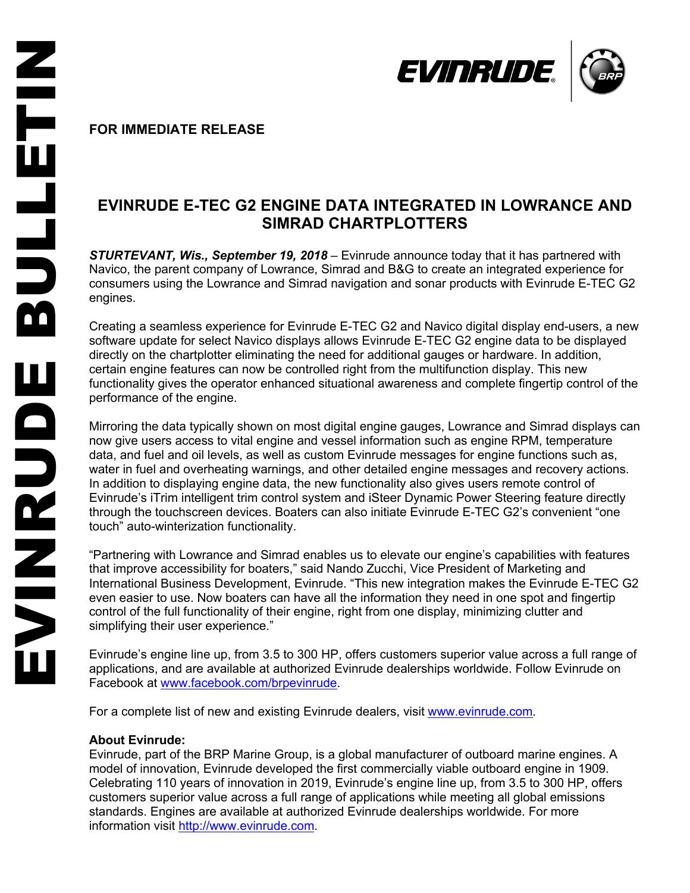

**FOR IMMEDIATE RELEASE** 

## **EVINRUDE E -TEC G2 ENGINE DATA INTEGRATED IN LOWRANCE AND SIMRAD CHARTPLOTTERS**

**STURTEVANT, Wis., September 19, 2018** – Evinrude announce today that it has partnered with Navico, the parent company of Lowrance, Simrad and B&G to create an integrated experience for consumers using the Lowrance and Simrad navigation and sonar products with Evinrude E -TEC G2 engines.

Creating a seamless experience for Evinrude E -TEC G2 and Navico digital display end -users, a new software update for select Navico displays allows Evinrude E -TEC G2 engine data to be displayed directly on the chartplotter eliminating the need for additional gauges or hardware. In addition, certain engine features can now be controlled right from the multifunction display. This new functionality gives the operator enhanced situational awareness and complete fingertip control of the performance of the engine .

Mirroring the data typically shown on most digital engine gauges, Lowrance and Simrad displays can now give users access to vital engine and vessel information such as engine RPM, temperature data, and fuel and oil levels, as well as custom Evinrude messages for engine functions such as, water in fuel and overheating warnings, and other detailed engine messages and recovery actions. In addition to displaying engine data, the new functionality also gives users remote control of Evinrude's iTrim intelligent trim control system and iSteer Dynamic Power Steering feature directly through the touchscreen devices. Boaters can also initiat e Evinrude E -TEC G2's convenient "one touch" auto -winterization functionality.

"Partnering with Lowrance and Simrad enables us to elevate our engine's capabilities with features that improve accessibility for boaters," said Nando Zucchi, Vice President of Marketing and International Business Development, Evinrude. "This new integration makes the Evinrude E-TEC G2 even easier to use. Now boaters can have all the information they need in one spot and fingertip control of the full functionality of their engine, right from one display, minimizing clutter and simplifying their user experience."

Evinrude's engine line up, from 3.5 to 300 HP, offers customers superior value across a full range of applications, and are available at authorized Evinrude dealerships worldwide. Follow Evinrude on Facebook at www.facebook.com/brpevinrude.

For a complete list of new and existing Evinrude dealers, visit www.evinrude.com.

## **About Evinrude:**

Evinrude, part of the BRP Marine Group, is a global manufacturer of outboard marine engines. A model of innovation, Evinrude developed the first commercially viable outboard engine in 1909. Celebrating 110 years of innovation in 2019, Evinrude's engine line up, from 3.5 to 300 HP, offers customers superior value across a full range of applications while meeting all global emissions standards. Engines are available at authorized Evinrude dealerships worldwide. For more information visit http://www.evinrude.com.